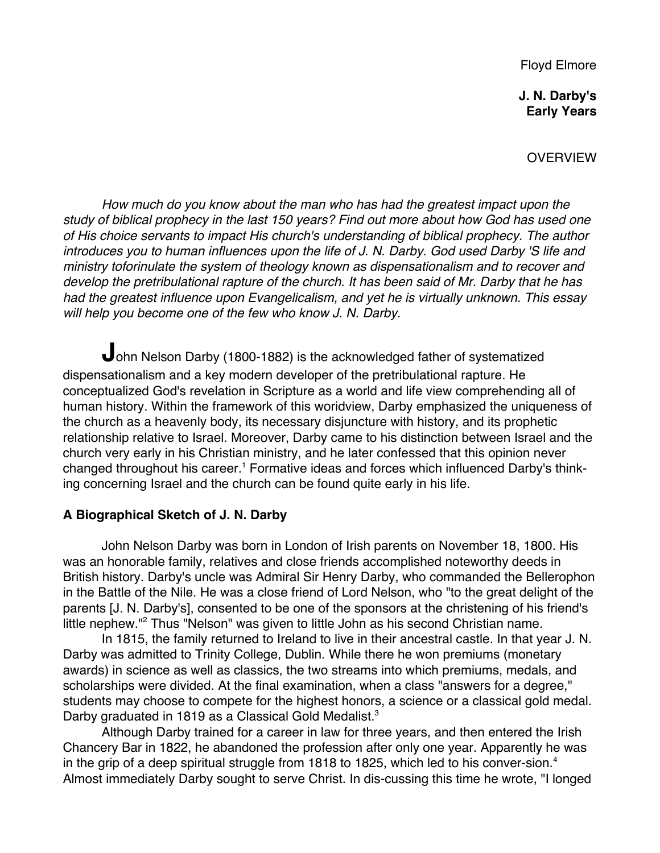Floyd Elmore

**J. N. Darby's Early Years**

**OVERVIEW** 

How much do you know about the man who has had the greatest impact upon the study of biblical prophecy in the last 150 years? Find out more about how God has used one of His choice servants to impact His church's understanding of biblical prophecy. The author introduces you to human influences upon the life of J. N. Darby. God used Darby 'S life and ministry toforinulate the system of theology known as dispensationalism and to recover and develop the pretribulational rapture of the church. It has been said of Mr. Darby that he has had the greatest influence upon Evangelicalism, and yet he is virtually unknown. This essay will help you become one of the few who know J. N. Darby.

John Nelson Darby (1800-1882) is the acknowledged father of systematized dispensationalism and a key modern developer of the pretribulational rapture. He conceptualized God's revelation in Scripture as a world and life view comprehending all of human history. Within the framework of this woridview, Darby emphasized the uniqueness of the church as a heavenly body, its necessary disjuncture with history, and its prophetic relationship relative to Israel. Moreover, Darby came to his distinction between Israel and the church very early in his Christian ministry, and he later confessed that this opinion never changed throughout his career.<sup>1</sup> Formative ideas and forces which influenced Darby's thinking concerning Israel and the church can be found quite early in his life.

# **A Biographical Sketch of J. N. Darby**

John Nelson Darby was born in London of Irish parents on November 18, 1800. His was an honorable family, relatives and close friends accomplished noteworthy deeds in British history. Darby's uncle was Admiral Sir Henry Darby, who commanded the Bellerophon in the Battle of the Nile. He was a close friend of Lord Nelson, who "to the great delight of the parents [J. N. Darby's], consented to be one of the sponsors at the christening of his friend's little nephew."<sup>2</sup> Thus "Nelson" was given to little John as his second Christian name.

In 1815, the family returned to Ireland to live in their ancestral castle. In that year J. N. Darby was admitted to Trinity College, Dublin. While there he won premiums (monetary awards) in science as well as classics, the two streams into which premiums, medals, and scholarships were divided. At the final examination, when a class "answers for a degree," students may choose to compete for the highest honors, a science or a classical gold medal. Darby graduated in 1819 as a Classical Gold Medalist.<sup>3</sup>

Although Darby trained for a career in law for three years, and then entered the Irish Chancery Bar in 1822, he abandoned the profession after only one year. Apparently he was in the grip of a deep spiritual struggle from 1818 to 1825, which led to his conver-sion.<sup>4</sup> Almost immediately Darby sought to serve Christ. In dis-cussing this time he wrote, "I longed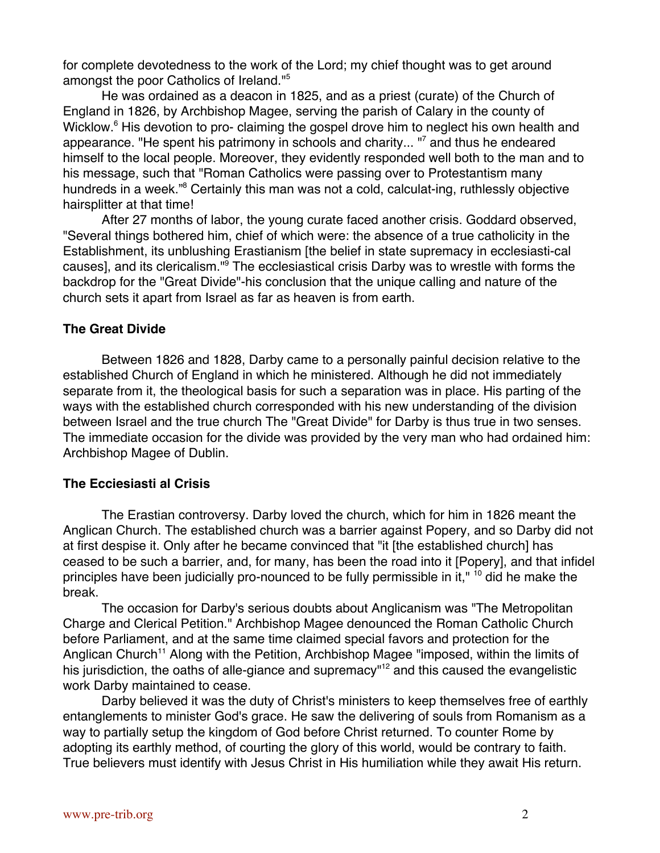for complete devotedness to the work of the Lord; my chief thought was to get around amongst the poor Catholics of Ireland."5

He was ordained as a deacon in 1825, and as a priest (curate) of the Church of England in 1826, by Archbishop Magee, serving the parish of Calary in the county of Wicklow.<sup>6</sup> His devotion to pro- claiming the gospel drove him to neglect his own health and appearance. "He spent his patrimony in schools and charity... "<sup>7</sup> and thus he endeared himself to the local people. Moreover, they evidently responded well both to the man and to his message, such that "Roman Catholics were passing over to Protestantism many hundreds in a week."<sup>8</sup> Certainly this man was not a cold, calculat-ing, ruthlessly objective hairsplitter at that time!

After 27 months of labor, the young curate faced another crisis. Goddard observed, "Several things bothered him, chief of which were: the absence of a true catholicity in the Establishment, its unblushing Erastianism [the belief in state supremacy in ecclesiasti-cal causes], and its clericalism."<sup>9</sup> The ecclesiastical crisis Darby was to wrestle with forms the backdrop for the "Great Divide"-his conclusion that the unique calling and nature of the church sets it apart from Israel as far as heaven is from earth.

## **The Great Divide**

Between 1826 and 1828, Darby came to a personally painful decision relative to the established Church of England in which he ministered. Although he did not immediately separate from it, the theological basis for such a separation was in place. His parting of the ways with the established church corresponded with his new understanding of the division between Israel and the true church The "Great Divide" for Darby is thus true in two senses. The immediate occasion for the divide was provided by the very man who had ordained him: Archbishop Magee of Dublin.

## **The Ecciesiasti al Crisis**

The Erastian controversy. Darby loved the church, which for him in 1826 meant the Anglican Church. The established church was a barrier against Popery, and so Darby did not at first despise it. Only after he became convinced that "it [the established church] has ceased to be such a barrier, and, for many, has been the road into it [Popery], and that infidel principles have been judicially pro-nounced to be fully permissible in it," <sup>10</sup> did he make the break.

The occasion for Darby's serious doubts about Anglicanism was "The Metropolitan Charge and Clerical Petition." Archbishop Magee denounced the Roman Catholic Church before Parliament, and at the same time claimed special favors and protection for the Anglican Church<sup>11</sup> Along with the Petition, Archbishop Magee "imposed, within the limits of his jurisdiction, the oaths of alle-giance and supremacy"<sup>12</sup> and this caused the evangelistic work Darby maintained to cease.

Darby believed it was the duty of Christ's ministers to keep themselves free of earthly entanglements to minister God's grace. He saw the delivering of souls from Romanism as a way to partially setup the kingdom of God before Christ returned. To counter Rome by adopting its earthly method, of courting the glory of this world, would be contrary to faith. True believers must identify with Jesus Christ in His humiliation while they await His return.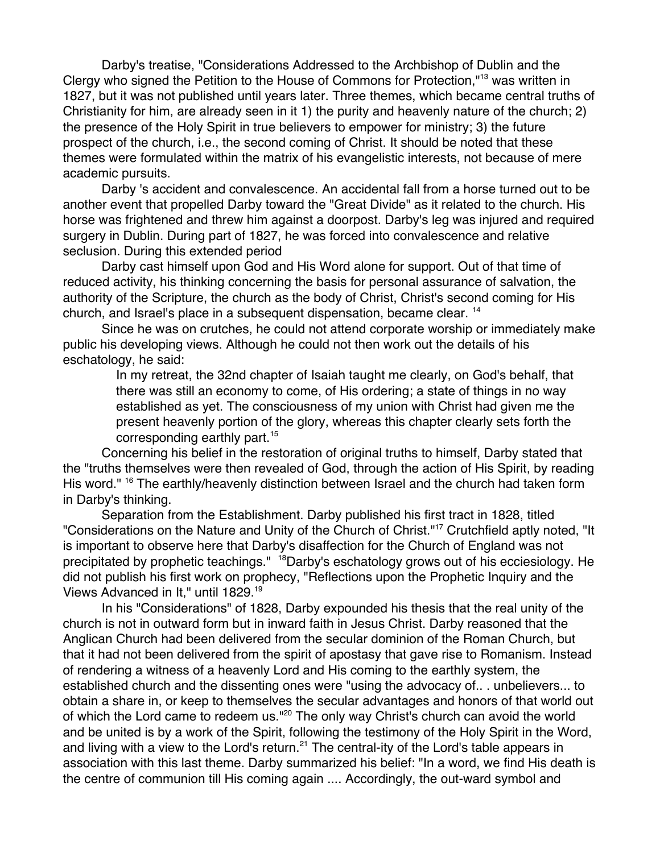Darby's treatise, "Considerations Addressed to the Archbishop of Dublin and the Clergy who signed the Petition to the House of Commons for Protection,"13 was written in 1827, but it was not published until years later. Three themes, which became central truths of Christianity for him, are already seen in it 1) the purity and heavenly nature of the church; 2) the presence of the Holy Spirit in true believers to empower for ministry; 3) the future prospect of the church, i.e., the second coming of Christ. It should be noted that these themes were formulated within the matrix of his evangelistic interests, not because of mere academic pursuits.

Darby 's accident and convalescence. An accidental fall from a horse turned out to be another event that propelled Darby toward the "Great Divide" as it related to the church. His horse was frightened and threw him against a doorpost. Darby's leg was injured and required surgery in Dublin. During part of 1827, he was forced into convalescence and relative seclusion. During this extended period

Darby cast himself upon God and His Word alone for support. Out of that time of reduced activity, his thinking concerning the basis for personal assurance of salvation, the authority of the Scripture, the church as the body of Christ, Christ's second coming for His church, and Israel's place in a subsequent dispensation, became clear. 14

Since he was on crutches, he could not attend corporate worship or immediately make public his developing views. Although he could not then work out the details of his eschatology, he said:

In my retreat, the 32nd chapter of Isaiah taught me clearly, on God's behalf, that there was still an economy to come, of His ordering; a state of things in no way established as yet. The consciousness of my union with Christ had given me the present heavenly portion of the glory, whereas this chapter clearly sets forth the corresponding earthly part.15

Concerning his belief in the restoration of original truths to himself, Darby stated that the "truths themselves were then revealed of God, through the action of His Spirit, by reading His word." <sup>16</sup> The earthly/heavenly distinction between Israel and the church had taken form in Darby's thinking.

Separation from the Establishment. Darby published his first tract in 1828, titled "Considerations on the Nature and Unity of the Church of Christ."<sup>17</sup> Crutchfield aptly noted, "It is important to observe here that Darby's disaffection for the Church of England was not precipitated by prophetic teachings." <sup>18</sup>Darby's eschatology grows out of his ecciesiology. He did not publish his first work on prophecy, "Reflections upon the Prophetic Inquiry and the Views Advanced in It," until 1829.19

In his "Considerations" of 1828, Darby expounded his thesis that the real unity of the church is not in outward form but in inward faith in Jesus Christ. Darby reasoned that the Anglican Church had been delivered from the secular dominion of the Roman Church, but that it had not been delivered from the spirit of apostasy that gave rise to Romanism. Instead of rendering a witness of a heavenly Lord and His coming to the earthly system, the established church and the dissenting ones were "using the advocacy of.. . unbelievers... to obtain a share in, or keep to themselves the secular advantages and honors of that world out of which the Lord came to redeem us."<sup>20</sup> The only way Christ's church can avoid the world and be united is by a work of the Spirit, following the testimony of the Holy Spirit in the Word, and living with a view to the Lord's return.<sup>21</sup> The central-ity of the Lord's table appears in association with this last theme. Darby summarized his belief: "In a word, we find His death is the centre of communion till His coming again .... Accordingly, the out-ward symbol and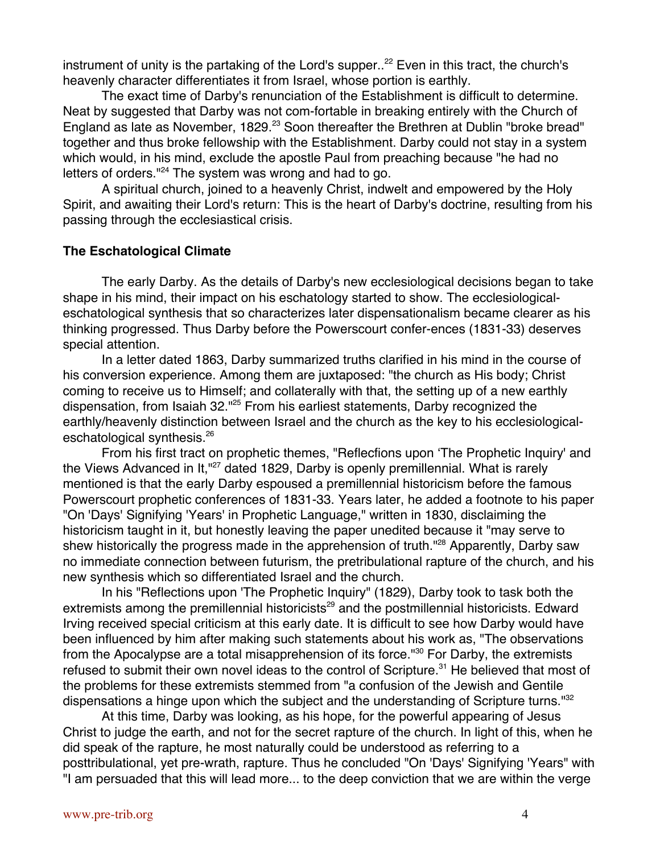instrument of unity is the partaking of the Lord's supper..<sup>22</sup> Even in this tract, the church's heavenly character differentiates it from Israel, whose portion is earthly.

The exact time of Darby's renunciation of the Establishment is difficult to determine. Neat by suggested that Darby was not com-fortable in breaking entirely with the Church of England as late as November, 1829.<sup>23</sup> Soon thereafter the Brethren at Dublin "broke bread" together and thus broke fellowship with the Establishment. Darby could not stay in a system which would, in his mind, exclude the apostle Paul from preaching because "he had no letters of orders."<sup>24</sup> The system was wrong and had to go.

A spiritual church, joined to a heavenly Christ, indwelt and empowered by the Holy Spirit, and awaiting their Lord's return: This is the heart of Darby's doctrine, resulting from his passing through the ecclesiastical crisis.

## **The Eschatological Climate**

The early Darby. As the details of Darby's new ecclesiological decisions began to take shape in his mind, their impact on his eschatology started to show. The ecclesiologicaleschatological synthesis that so characterizes later dispensationalism became clearer as his thinking progressed. Thus Darby before the Powerscourt confer-ences (1831-33) deserves special attention.

In a letter dated 1863, Darby summarized truths clarified in his mind in the course of his conversion experience. Among them are juxtaposed: "the church as His body; Christ coming to receive us to Himself; and collaterally with that, the setting up of a new earthly dispensation, from Isaiah 32."<sup>25</sup> From his earliest statements, Darby recognized the earthly/heavenly distinction between Israel and the church as the key to his ecclesiologicaleschatological synthesis.26

From his first tract on prophetic themes, "Reflecfions upon 'The Prophetic Inquiry' and the Views Advanced in It,"<sup>27</sup> dated 1829, Darby is openly premillennial. What is rarely mentioned is that the early Darby espoused a premillennial historicism before the famous Powerscourt prophetic conferences of 1831-33. Years later, he added a footnote to his paper "On 'Days' Signifying 'Years' in Prophetic Language," written in 1830, disclaiming the historicism taught in it, but honestly leaving the paper unedited because it "may serve to shew historically the progress made in the apprehension of truth."<sup>28</sup> Apparently, Darby saw no immediate connection between futurism, the pretribulational rapture of the church, and his new synthesis which so differentiated Israel and the church.

In his "Reflections upon 'The Prophetic Inquiry" (1829), Darby took to task both the extremists among the premillennial historicists<sup>29</sup> and the postmillennial historicists. Edward Irving received special criticism at this early date. It is difficult to see how Darby would have been influenced by him after making such statements about his work as, "The observations from the Apocalypse are a total misapprehension of its force."<sup>30</sup> For Darby, the extremists refused to submit their own novel ideas to the control of Scripture.<sup>31</sup> He believed that most of the problems for these extremists stemmed from "a confusion of the Jewish and Gentile dispensations a hinge upon which the subject and the understanding of Scripture turns."<sup>32</sup>

At this time, Darby was looking, as his hope, for the powerful appearing of Jesus Christ to judge the earth, and not for the secret rapture of the church. In light of this, when he did speak of the rapture, he most naturally could be understood as referring to a posttribulational, yet pre-wrath, rapture. Thus he concluded "On 'Days' Signifying 'Years" with "I am persuaded that this will lead more... to the deep conviction that we are within the verge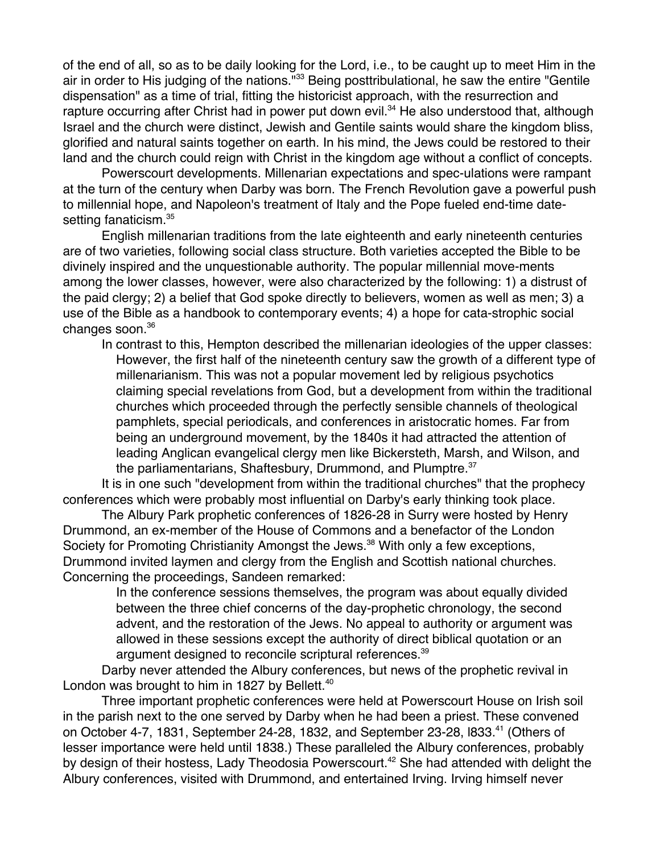of the end of all, so as to be daily looking for the Lord, i.e., to be caught up to meet Him in the air in order to His judging of the nations."<sup>33</sup> Being posttribulational, he saw the entire "Gentile dispensation" as a time of trial, fitting the historicist approach, with the resurrection and rapture occurring after Christ had in power put down evil.<sup>34</sup> He also understood that, although Israel and the church were distinct, Jewish and Gentile saints would share the kingdom bliss, glorified and natural saints together on earth. In his mind, the Jews could be restored to their land and the church could reign with Christ in the kingdom age without a conflict of concepts.

Powerscourt developments. Millenarian expectations and spec-ulations were rampant at the turn of the century when Darby was born. The French Revolution gave a powerful push to millennial hope, and Napoleon's treatment of Italy and the Pope fueled end-time datesetting fanaticism.<sup>35</sup>

English millenarian traditions from the late eighteenth and early nineteenth centuries are of two varieties, following social class structure. Both varieties accepted the Bible to be divinely inspired and the unquestionable authority. The popular millennial move-ments among the lower classes, however, were also characterized by the following: 1) a distrust of the paid clergy; 2) a belief that God spoke directly to believers, women as well as men; 3) a use of the Bible as a handbook to contemporary events; 4) a hope for cata-strophic social changes soon.<sup>36</sup>

In contrast to this, Hempton described the millenarian ideologies of the upper classes: However, the first half of the nineteenth century saw the growth of a different type of millenarianism. This was not a popular movement led by religious psychotics claiming special revelations from God, but a development from within the traditional churches which proceeded through the perfectly sensible channels of theological pamphlets, special periodicals, and conferences in aristocratic homes. Far from being an underground movement, by the 1840s it had attracted the attention of leading Anglican evangelical clergy men like Bickersteth, Marsh, and Wilson, and the parliamentarians, Shaftesbury, Drummond, and Plumptre.<sup>37</sup>

It is in one such "development from within the traditional churches" that the prophecy conferences which were probably most influential on Darby's early thinking took place.

The Albury Park prophetic conferences of 1826-28 in Surry were hosted by Henry Drummond, an ex-member of the House of Commons and a benefactor of the London Society for Promoting Christianity Amongst the Jews.<sup>38</sup> With only a few exceptions, Drummond invited laymen and clergy from the English and Scottish national churches. Concerning the proceedings, Sandeen remarked:

> In the conference sessions themselves, the program was about equally divided between the three chief concerns of the day-prophetic chronology, the second advent, and the restoration of the Jews. No appeal to authority or argument was allowed in these sessions except the authority of direct biblical quotation or an argument designed to reconcile scriptural references.<sup>39</sup>

Darby never attended the Albury conferences, but news of the prophetic revival in London was brought to him in 1827 by Bellett. $40$ 

Three important prophetic conferences were held at Powerscourt House on Irish soil in the parish next to the one served by Darby when he had been a priest. These convened on October 4-7, 1831, September 24-28, 1832, and September 23-28, l833.<sup>41</sup> (Others of lesser importance were held until 1838.) These paralleled the Albury conferences, probably by design of their hostess, Lady Theodosia Powerscourt.<sup>42</sup> She had attended with delight the Albury conferences, visited with Drummond, and entertained Irving. Irving himself never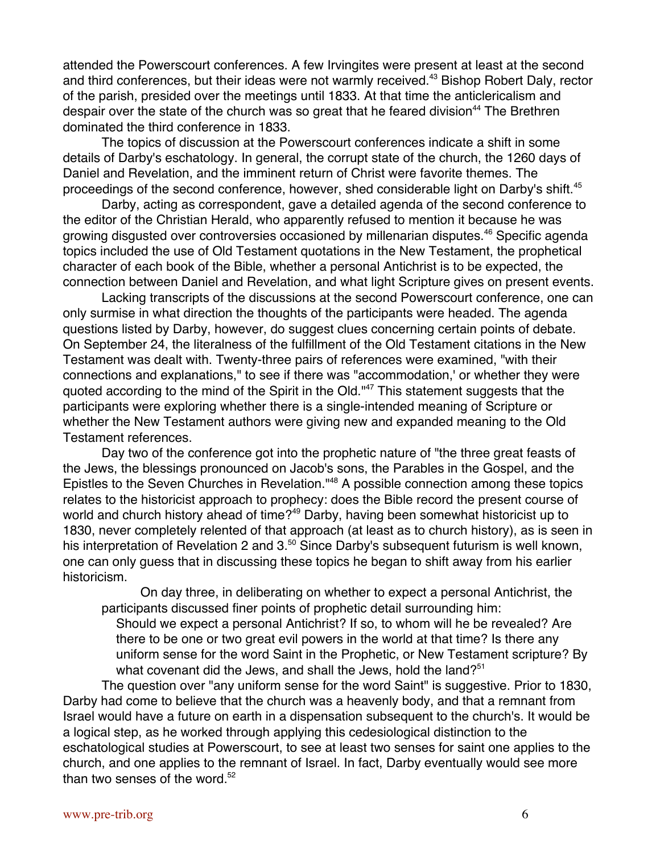attended the Powerscourt conferences. A few Irvingites were present at least at the second and third conferences, but their ideas were not warmly received.<sup>43</sup> Bishop Robert Daly, rector of the parish, presided over the meetings until 1833. At that time the anticlericalism and despair over the state of the church was so great that he feared division<sup>44</sup> The Brethren dominated the third conference in 1833.

The topics of discussion at the Powerscourt conferences indicate a shift in some details of Darby's eschatology. In general, the corrupt state of the church, the 1260 days of Daniel and Revelation, and the imminent return of Christ were favorite themes. The proceedings of the second conference, however, shed considerable light on Darby's shift.<sup>45</sup>

Darby, acting as correspondent, gave a detailed agenda of the second conference to the editor of the Christian Herald, who apparently refused to mention it because he was growing disgusted over controversies occasioned by millenarian disputes.<sup>46</sup> Specific agenda topics included the use of Old Testament quotations in the New Testament, the prophetical character of each book of the Bible, whether a personal Antichrist is to be expected, the connection between Daniel and Revelation, and what light Scripture gives on present events.

Lacking transcripts of the discussions at the second Powerscourt conference, one can only surmise in what direction the thoughts of the participants were headed. The agenda questions listed by Darby, however, do suggest clues concerning certain points of debate. On September 24, the literalness of the fulfillment of the Old Testament citations in the New Testament was dealt with. Twenty-three pairs of references were examined, "with their connections and explanations," to see if there was "accommodation,' or whether they were quoted according to the mind of the Spirit in the Old."<sup>47</sup> This statement suggests that the participants were exploring whether there is a single-intended meaning of Scripture or whether the New Testament authors were giving new and expanded meaning to the Old Testament references.

Day two of the conference got into the prophetic nature of "the three great feasts of the Jews, the blessings pronounced on Jacob's sons, the Parables in the Gospel, and the Epistles to the Seven Churches in Revelation."<sup>48</sup> A possible connection among these topics relates to the historicist approach to prophecy: does the Bible record the present course of world and church history ahead of time?<sup>49</sup> Darby, having been somewhat historicist up to 1830, never completely relented of that approach (at least as to church history), as is seen in his interpretation of Revelation 2 and 3.<sup>50</sup> Since Darby's subsequent futurism is well known, one can only guess that in discussing these topics he began to shift away from his earlier historicism.

On day three, in deliberating on whether to expect a personal Antichrist, the participants discussed finer points of prophetic detail surrounding him:

Should we expect a personal Antichrist? If so, to whom will he be revealed? Are there to be one or two great evil powers in the world at that time? Is there any uniform sense for the word Saint in the Prophetic, or New Testament scripture? By what covenant did the Jews, and shall the Jews, hold the land?<sup>51</sup>

The question over "any uniform sense for the word Saint" is suggestive. Prior to 1830, Darby had come to believe that the church was a heavenly body, and that a remnant from Israel would have a future on earth in a dispensation subsequent to the church's. It would be a logical step, as he worked through applying this cedesiological distinction to the eschatological studies at Powerscourt, to see at least two senses for saint one applies to the church, and one applies to the remnant of Israel. In fact, Darby eventually would see more than two senses of the word.<sup>52</sup>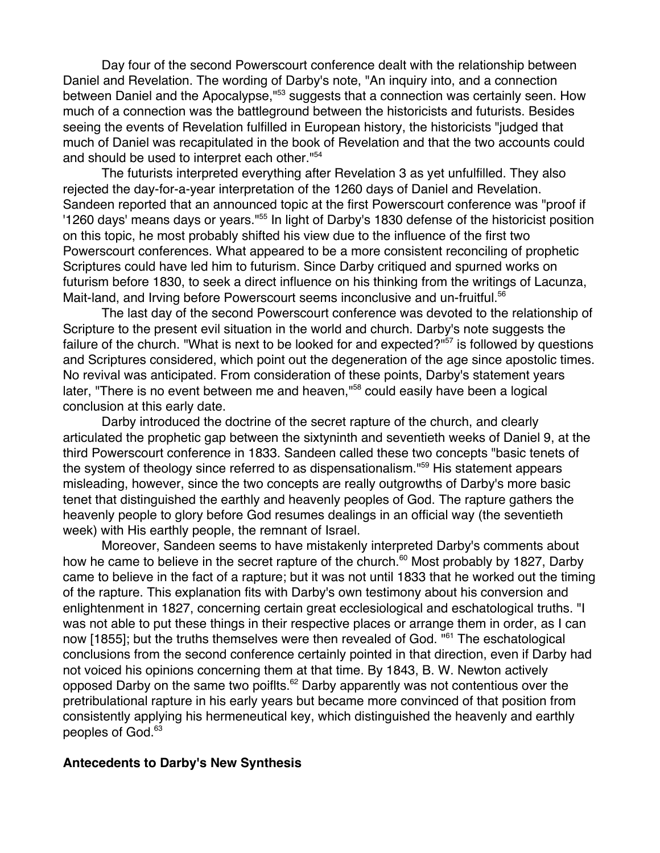Day four of the second Powerscourt conference dealt with the relationship between Daniel and Revelation. The wording of Darby's note, "An inquiry into, and a connection between Daniel and the Apocalypse,"<sup>53</sup> suggests that a connection was certainly seen. How much of a connection was the battleground between the historicists and futurists. Besides seeing the events of Revelation fulfilled in European history, the historicists "judged that much of Daniel was recapitulated in the book of Revelation and that the two accounts could and should be used to interpret each other."54

The futurists interpreted everything after Revelation 3 as yet unfulfilled. They also rejected the day-for-a-year interpretation of the 1260 days of Daniel and Revelation. Sandeen reported that an announced topic at the first Powerscourt conference was "proof if '1260 days' means days or years."<sup>55</sup> In light of Darby's 1830 defense of the historicist position on this topic, he most probably shifted his view due to the influence of the first two Powerscourt conferences. What appeared to be a more consistent reconciling of prophetic Scriptures could have led him to futurism. Since Darby critiqued and spurned works on futurism before 1830, to seek a direct influence on his thinking from the writings of Lacunza, Mait-land, and Irving before Powerscourt seems inconclusive and un-fruitful.<sup>56</sup>

The last day of the second Powerscourt conference was devoted to the relationship of Scripture to the present evil situation in the world and church. Darby's note suggests the failure of the church. "What is next to be looked for and expected?" $57$  is followed by questions and Scriptures considered, which point out the degeneration of the age since apostolic times. No revival was anticipated. From consideration of these points, Darby's statement years later, "There is no event between me and heaven,"<sup>58</sup> could easily have been a logical conclusion at this early date.

Darby introduced the doctrine of the secret rapture of the church, and clearly articulated the prophetic gap between the sixtyninth and seventieth weeks of Daniel 9, at the third Powerscourt conference in 1833. Sandeen called these two concepts "basic tenets of the system of theology since referred to as dispensationalism."<sup>59</sup> His statement appears misleading, however, since the two concepts are really outgrowths of Darby's more basic tenet that distinguished the earthly and heavenly peoples of God. The rapture gathers the heavenly people to glory before God resumes dealings in an official way (the seventieth week) with His earthly people, the remnant of Israel.

Moreover, Sandeen seems to have mistakenly interpreted Darby's comments about how he came to believe in the secret rapture of the church.<sup>60</sup> Most probably by 1827, Darby came to believe in the fact of a rapture; but it was not until 1833 that he worked out the timing of the rapture. This explanation fits with Darby's own testimony about his conversion and enlightenment in 1827, concerning certain great ecclesiological and eschatological truths. "I was not able to put these things in their respective places or arrange them in order, as I can now [1855]; but the truths themselves were then revealed of God. "<sup>61</sup> The eschatological conclusions from the second conference certainly pointed in that direction, even if Darby had not voiced his opinions concerning them at that time. By 1843, B. W. Newton actively opposed Darby on the same two poiflts.<sup>62</sup> Darby apparently was not contentious over the pretribulational rapture in his early years but became more convinced of that position from consistently applying his hermeneutical key, which distinguished the heavenly and earthly peoples of God.<sup>63</sup>

#### **Antecedents to Darby's New Synthesis**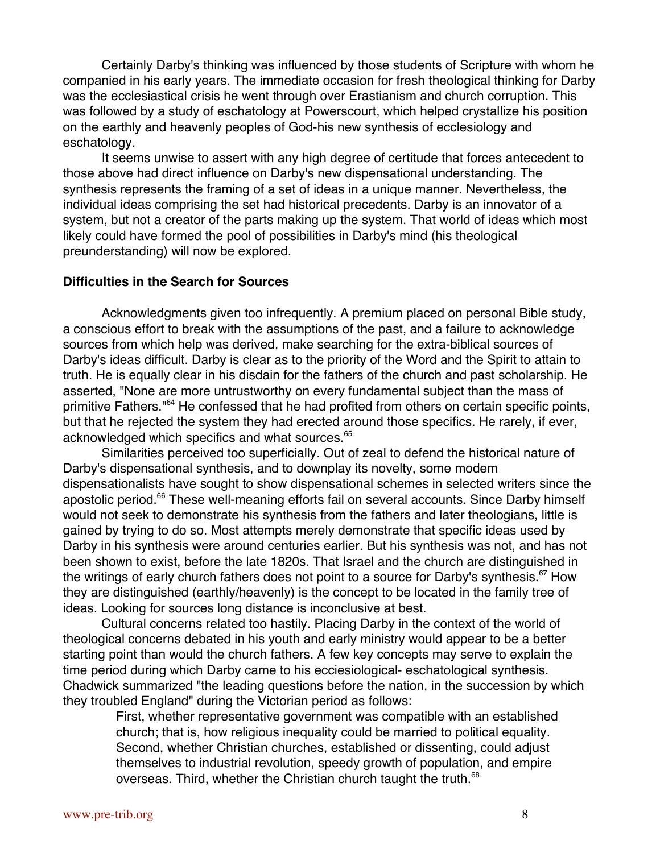Certainly Darby's thinking was influenced by those students of Scripture with whom he companied in his early years. The immediate occasion for fresh theological thinking for Darby was the ecclesiastical crisis he went through over Erastianism and church corruption. This was followed by a study of eschatology at Powerscourt, which helped crystallize his position on the earthly and heavenly peoples of God-his new synthesis of ecclesiology and eschatology.

It seems unwise to assert with any high degree of certitude that forces antecedent to those above had direct influence on Darby's new dispensational understanding. The synthesis represents the framing of a set of ideas in a unique manner. Nevertheless, the individual ideas comprising the set had historical precedents. Darby is an innovator of a system, but not a creator of the parts making up the system. That world of ideas which most likely could have formed the pool of possibilities in Darby's mind (his theological preunderstanding) will now be explored.

#### **Difficulties in the Search for Sources**

Acknowledgments given too infrequently. A premium placed on personal Bible study, a conscious effort to break with the assumptions of the past, and a failure to acknowledge sources from which help was derived, make searching for the extra-biblical sources of Darby's ideas difficult. Darby is clear as to the priority of the Word and the Spirit to attain to truth. He is equally clear in his disdain for the fathers of the church and past scholarship. He asserted, "None are more untrustworthy on every fundamental subject than the mass of primitive Fathers."<sup>64</sup> He confessed that he had profited from others on certain specific points, but that he rejected the system they had erected around those specifics. He rarely, if ever, acknowledged which specifics and what sources.<sup>65</sup>

Similarities perceived too superficially. Out of zeal to defend the historical nature of Darby's dispensational synthesis, and to downplay its novelty, some modem dispensationalists have sought to show dispensational schemes in selected writers since the apostolic period.<sup>66</sup> These well-meaning efforts fail on several accounts. Since Darby himself would not seek to demonstrate his synthesis from the fathers and later theologians, little is gained by trying to do so. Most attempts merely demonstrate that specific ideas used by Darby in his synthesis were around centuries earlier. But his synthesis was not, and has not been shown to exist, before the late 1820s. That Israel and the church are distinguished in the writings of early church fathers does not point to a source for Darby's synthesis.<sup>67</sup> How they are distinguished (earthly/heavenly) is the concept to be located in the family tree of ideas. Looking for sources long distance is inconclusive at best.

Cultural concerns related too hastily. Placing Darby in the context of the world of theological concerns debated in his youth and early ministry would appear to be a better starting point than would the church fathers. A few key concepts may serve to explain the time period during which Darby came to his ecciesiological- eschatological synthesis. Chadwick summarized "the leading questions before the nation, in the succession by which they troubled England" during the Victorian period as follows:

> First, whether representative government was compatible with an established church; that is, how religious inequality could be married to political equality. Second, whether Christian churches, established or dissenting, could adjust themselves to industrial revolution, speedy growth of population, and empire overseas. Third, whether the Christian church taught the truth.<sup>68</sup>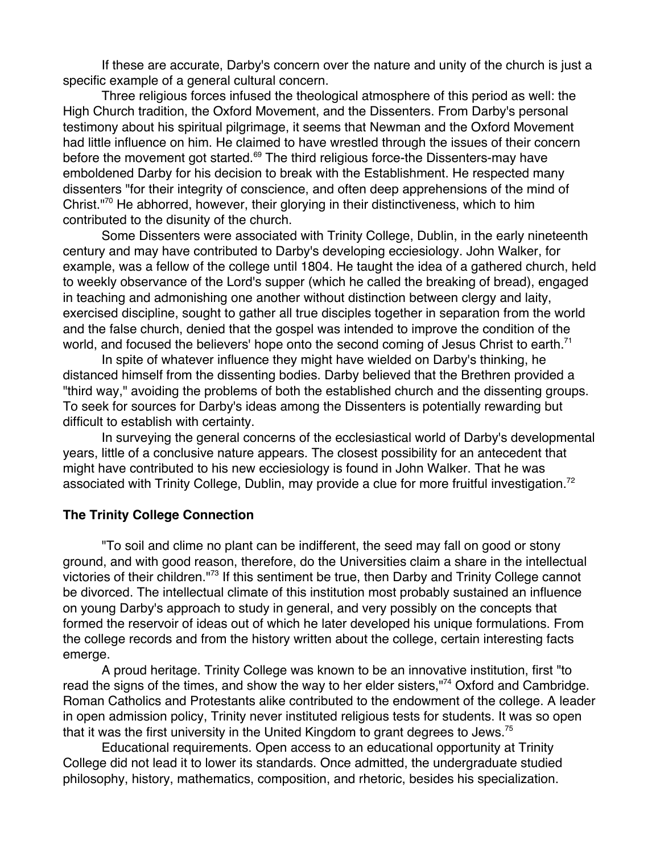If these are accurate, Darby's concern over the nature and unity of the church is just a specific example of a general cultural concern.

Three religious forces infused the theological atmosphere of this period as well: the High Church tradition, the Oxford Movement, and the Dissenters. From Darby's personal testimony about his spiritual pilgrimage, it seems that Newman and the Oxford Movement had little influence on him. He claimed to have wrestled through the issues of their concern before the movement got started.<sup>69</sup> The third religious force-the Dissenters-may have emboldened Darby for his decision to break with the Establishment. He respected many dissenters "for their integrity of conscience, and often deep apprehensions of the mind of Christ."<sup>70</sup> He abhorred, however, their glorying in their distinctiveness, which to him contributed to the disunity of the church.

Some Dissenters were associated with Trinity College, Dublin, in the early nineteenth century and may have contributed to Darby's developing ecciesiology. John Walker, for example, was a fellow of the college until 1804. He taught the idea of a gathered church, held to weekly observance of the Lord's supper (which he called the breaking of bread), engaged in teaching and admonishing one another without distinction between clergy and laity, exercised discipline, sought to gather all true disciples together in separation from the world and the false church, denied that the gospel was intended to improve the condition of the world, and focused the believers' hope onto the second coming of Jesus Christ to earth.<sup>71</sup>

In spite of whatever influence they might have wielded on Darby's thinking, he distanced himself from the dissenting bodies. Darby believed that the Brethren provided a "third way," avoiding the problems of both the established church and the dissenting groups. To seek for sources for Darby's ideas among the Dissenters is potentially rewarding but difficult to establish with certainty.

In surveying the general concerns of the ecclesiastical world of Darby's developmental years, little of a conclusive nature appears. The closest possibility for an antecedent that might have contributed to his new ecciesiology is found in John Walker. That he was associated with Trinity College, Dublin, may provide a clue for more fruitful investigation.<sup>72</sup>

# **The Trinity College Connection**

"To soil and clime no plant can be indifferent, the seed may fall on good or stony ground, and with good reason, therefore, do the Universities claim a share in the intellectual victories of their children."<sup>73</sup> If this sentiment be true, then Darby and Trinity College cannot be divorced. The intellectual climate of this institution most probably sustained an influence on young Darby's approach to study in general, and very possibly on the concepts that formed the reservoir of ideas out of which he later developed his unique formulations. From the college records and from the history written about the college, certain interesting facts emerge.

A proud heritage. Trinity College was known to be an innovative institution, first "to read the signs of the times, and show the way to her elder sisters,"<sup>74</sup> Oxford and Cambridge. Roman Catholics and Protestants alike contributed to the endowment of the college. A leader in open admission policy, Trinity never instituted religious tests for students. It was so open that it was the first university in the United Kingdom to grant degrees to Jews.<sup>75</sup>

Educational requirements. Open access to an educational opportunity at Trinity College did not lead it to lower its standards. Once admitted, the undergraduate studied philosophy, history, mathematics, composition, and rhetoric, besides his specialization.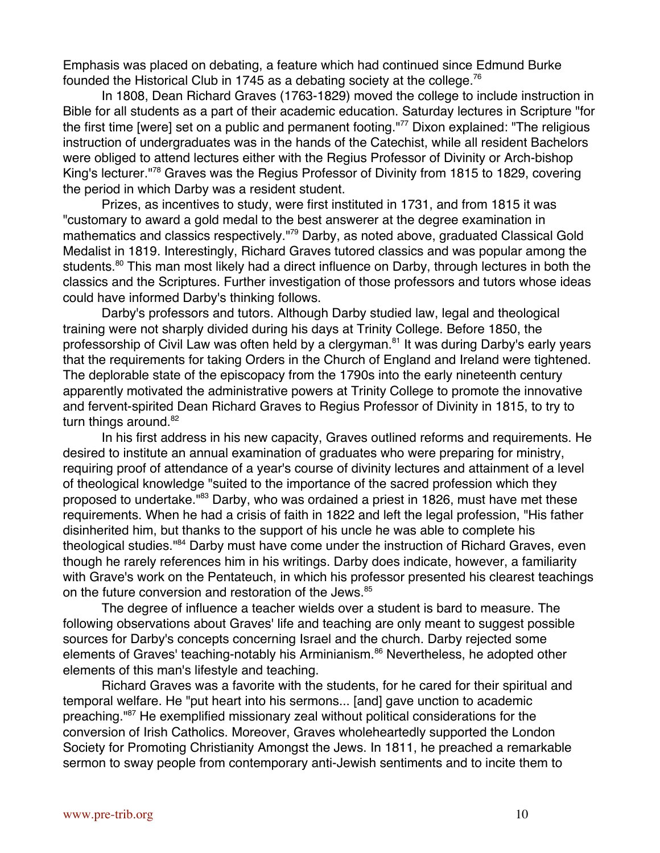Emphasis was placed on debating, a feature which had continued since Edmund Burke founded the Historical Club in 1745 as a debating society at the college.<sup>76</sup>

In 1808, Dean Richard Graves (1763-1829) moved the college to include instruction in Bible for all students as a part of their academic education. Saturday lectures in Scripture "for the first time [were] set on a public and permanent footing."<sup>77</sup> Dixon explained: "The religious instruction of undergraduates was in the hands of the Catechist, while all resident Bachelors were obliged to attend lectures either with the Regius Professor of Divinity or Arch-bishop King's lecturer."<sup>78</sup> Graves was the Regius Professor of Divinity from 1815 to 1829, covering the period in which Darby was a resident student.

Prizes, as incentives to study, were first instituted in 1731, and from 1815 it was "customary to award a gold medal to the best answerer at the degree examination in mathematics and classics respectively."<sup>79</sup> Darby, as noted above, graduated Classical Gold Medalist in 1819. Interestingly, Richard Graves tutored classics and was popular among the students.<sup>80</sup> This man most likely had a direct influence on Darby, through lectures in both the classics and the Scriptures. Further investigation of those professors and tutors whose ideas could have informed Darby's thinking follows.

Darby's professors and tutors. Although Darby studied law, legal and theological training were not sharply divided during his days at Trinity College. Before 1850, the professorship of Civil Law was often held by a clergyman.<sup>81</sup> It was during Darby's early years that the requirements for taking Orders in the Church of England and Ireland were tightened. The deplorable state of the episcopacy from the 1790s into the early nineteenth century apparently motivated the administrative powers at Trinity College to promote the innovative and fervent-spirited Dean Richard Graves to Regius Professor of Divinity in 1815, to try to turn things around. $82$ 

In his first address in his new capacity, Graves outlined reforms and requirements. He desired to institute an annual examination of graduates who were preparing for ministry, requiring proof of attendance of a year's course of divinity lectures and attainment of a level of theological knowledge "suited to the importance of the sacred profession which they proposed to undertake."<sup>83</sup> Darby, who was ordained a priest in 1826, must have met these requirements. When he had a crisis of faith in 1822 and left the legal profession, "His father disinherited him, but thanks to the support of his uncle he was able to complete his theological studies."<sup>84</sup> Darby must have come under the instruction of Richard Graves, even though he rarely references him in his writings. Darby does indicate, however, a familiarity with Grave's work on the Pentateuch, in which his professor presented his clearest teachings on the future conversion and restoration of the Jews.<sup>85</sup>

The degree of influence a teacher wields over a student is bard to measure. The following observations about Graves' life and teaching are only meant to suggest possible sources for Darby's concepts concerning Israel and the church. Darby rejected some elements of Graves' teaching-notably his Arminianism.<sup>86</sup> Nevertheless, he adopted other elements of this man's lifestyle and teaching.

Richard Graves was a favorite with the students, for he cared for their spiritual and temporal welfare. He "put heart into his sermons... [and] gave unction to academic preaching."<sup>87</sup> He exemplified missionary zeal without political considerations for the conversion of Irish Catholics. Moreover, Graves wholeheartedly supported the London Society for Promoting Christianity Amongst the Jews. In 1811, he preached a remarkable sermon to sway people from contemporary anti-Jewish sentiments and to incite them to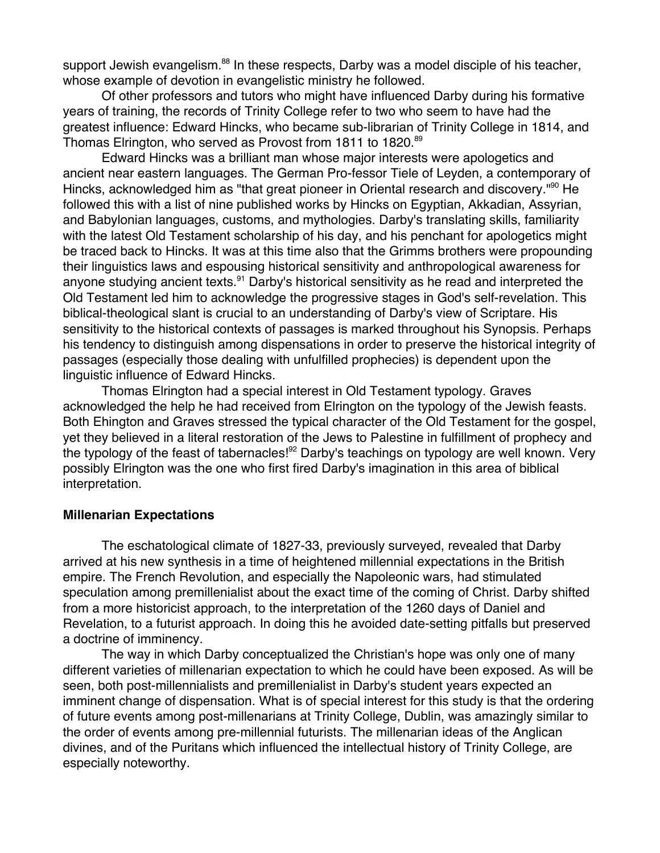support Jewish evangelism.<sup>88</sup> In these respects, Darby was a model disciple of his teacher, whose example of devotion in evangelistic ministry he followed.

Of other professors and tutors who might have influenced Darby during his formative years of training, the records of Trinity College refer to two who seem to have had the greatest influence: Edward Hincks, who became sub-librarian of Trinity College in 1814, and Thomas Elrington, who served as Provost from 1811 to 1820.<sup>89</sup>

Edward Hincks was a brilliant man whose major interests were apologetics and ancient near eastern languages. The German Pro-fessor Tiele of Leyden, a contemporary of Hincks, acknowledged him as "that great pioneer in Oriental research and discovery."<sup>90</sup> He followed this with a list of nine published works by Hincks on Egyptian, Akkadian, Assyrian, and Babylonian languages, customs, and mythologies. Darby's translating skills, familiarity with the latest Old Testament scholarship of his day, and his penchant for apologetics might be traced back to Hincks. It was at this time also that the Grimms brothers were propounding their linguistics laws and espousing historical sensitivity and anthropological awareness for anyone studying ancient texts.<sup>91</sup> Darby's historical sensitivity as he read and interpreted the Old Testament led him to acknowledge the progressive stages in God's self-revelation. This biblical-theological slant is crucial to an understanding of Darby's view of Scriptare. His sensitivity to the historical contexts of passages is marked throughout his Synopsis. Perhaps his tendency to distinguish among dispensations in order to preserve the historical integrity of passages (especially those dealing with unfulfilled prophecies) is dependent upon the linguistic influence of Edward Hincks.

Thomas Elrington had a special interest in Old Testament typology. Graves acknowledged the help he had received from Elrington on the typology of the Jewish feasts. Both Ehington and Graves stressed the typical character of the Old Testament for the gospel, yet they believed in a literal restoration of the Jews to Palestine in fulfillment of prophecy and the typology of the feast of tabernacles!<sup>92</sup> Darby's teachings on typology are well known. Very possibly Elrington was the one who first fired Darby's imagination in this area of biblical interpretation.

## **Millenarian Expectations**

The eschatological climate of 1827-33, previously surveyed, revealed that Darby arrived at his new synthesis in a time of heightened millennial expectations in the British empire. The French Revolution, and especially the Napoleonic wars, had stimulated speculation among premillenialist about the exact time of the coming of Christ. Darby shifted from a more historicist approach, to the interpretation of the 1260 days of Daniel and Revelation, to a futurist approach. In doing this he avoided date-setting pitfalls but preserved a doctrine of imminency.

The way in which Darby conceptualized the Christian's hope was only one of many different varieties of millenarian expectation to which he could have been exposed. As will be seen, both post-millennialists and premillenialist in Darby's student years expected an imminent change of dispensation. What is of special interest for this study is that the ordering of future events among post-millenarians at Trinity College, Dublin, was amazingly similar to the order of events among pre-millennial futurists. The millenarian ideas of the Anglican divines, and of the Puritans which influenced the intellectual history of Trinity College, are especially noteworthy.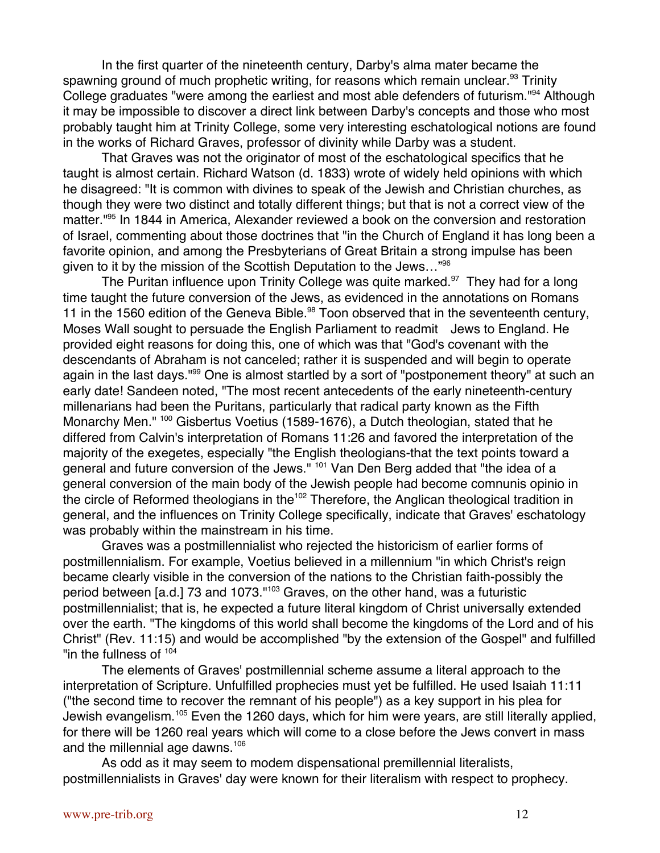In the first quarter of the nineteenth century, Darby's alma mater became the spawning ground of much prophetic writing, for reasons which remain unclear.<sup>93</sup> Trinity College graduates "were among the earliest and most able defenders of futurism."<sup>94</sup> Although it may be impossible to discover a direct link between Darby's concepts and those who most probably taught him at Trinity College, some very interesting eschatological notions are found in the works of Richard Graves, professor of divinity while Darby was a student.

That Graves was not the originator of most of the eschatological specifics that he taught is almost certain. Richard Watson (d. 1833) wrote of widely held opinions with which he disagreed: "It is common with divines to speak of the Jewish and Christian churches, as though they were two distinct and totally different things; but that is not a correct view of the matter."95 In 1844 in America, Alexander reviewed a book on the conversion and restoration of Israel, commenting about those doctrines that "in the Church of England it has long been a favorite opinion, and among the Presbyterians of Great Britain a strong impulse has been given to it by the mission of the Scottish Deputation to the Jews..."<sup>96</sup>

The Puritan influence upon Trinity College was quite marked.<sup>97</sup> They had for a long time taught the future conversion of the Jews, as evidenced in the annotations on Romans 11 in the 1560 edition of the Geneva Bible.<sup>98</sup> Toon observed that in the seventeenth century, Moses Wall sought to persuade the English Parliament to readmit Jews to England. He provided eight reasons for doing this, one of which was that "God's covenant with the descendants of Abraham is not canceled; rather it is suspended and will begin to operate again in the last days."<sup>99</sup> One is almost startled by a sort of "postponement theory" at such an early date! Sandeen noted, "The most recent antecedents of the early nineteenth-century millenarians had been the Puritans, particularly that radical party known as the Fifth Monarchy Men." <sup>100</sup> Gisbertus Voetius (1589-1676), a Dutch theologian, stated that he differed from Calvin's interpretation of Romans 11:26 and favored the interpretation of the majority of the exegetes, especially "the English theologians-that the text points toward a general and future conversion of the Jews." <sup>101</sup> Van Den Berg added that "the idea of a general conversion of the main body of the Jewish people had become comnunis opinio in the circle of Reformed theologians in the<sup>102</sup> Therefore, the Anglican theological tradition in general, and the influences on Trinity College specifically, indicate that Graves' eschatology was probably within the mainstream in his time.

Graves was a postmillennialist who rejected the historicism of earlier forms of postmillennialism. For example, Voetius believed in a millennium "in which Christ's reign became clearly visible in the conversion of the nations to the Christian faith-possibly the period between [a.d.] 73 and 1073."<sup>103</sup> Graves, on the other hand, was a futuristic postmillennialist; that is, he expected a future literal kingdom of Christ universally extended over the earth. "The kingdoms of this world shall become the kingdoms of the Lord and of his Christ" (Rev. 11:15) and would be accomplished "by the extension of the Gospel" and fulfilled "in the fullness of  $104$ 

The elements of Graves' postmillennial scheme assume a literal approach to the interpretation of Scripture. Unfulfilled prophecies must yet be fulfilled. He used Isaiah 11:11 ("the second time to recover the remnant of his people") as a key support in his plea for Jewish evangelism.<sup>105</sup> Even the 1260 days, which for him were years, are still literally applied, for there will be 1260 real years which will come to a close before the Jews convert in mass and the millennial age dawns.<sup>106</sup>

As odd as it may seem to modem dispensational premillennial literalists, postmillennialists in Graves' day were known for their literalism with respect to prophecy.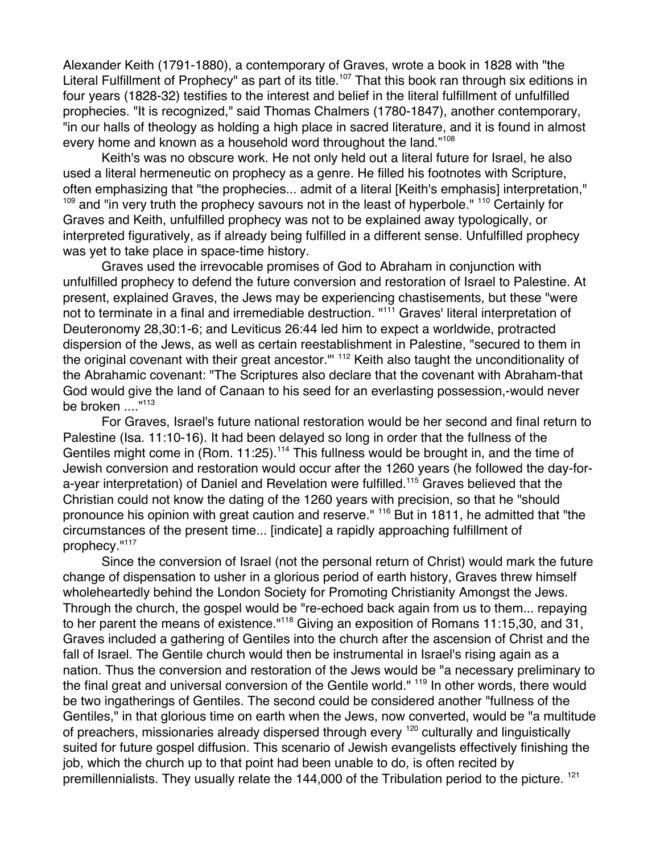Alexander Keith (1791-1880), a contemporary of Graves, wrote a book in 1828 with "the Literal Fulfillment of Prophecy" as part of its title.<sup>107</sup> That this book ran through six editions in four years (1828-32) testifies to the interest and belief in the literal fulfillment of unfulfilled prophecies. "It is recognized," said Thomas Chalmers (1780-1847), another contemporary, "in our halls of theology as holding a high place in sacred literature, and it is found in almost every home and known as a household word throughout the land."<sup>108</sup>

Keith's was no obscure work. He not only held out a literal future for Israel, he also used a literal hermeneutic on prophecy as a genre. He filled his footnotes with Scripture, often emphasizing that "the prophecies... admit of a literal [Keith's emphasis] interpretation," <sup>109</sup> and "in very truth the prophecy savours not in the least of hyperbole." <sup>110</sup> Certainly for Graves and Keith, unfulfilled prophecy was not to be explained away typologically, or interpreted figuratively, as if already being fulfilled in a different sense. Unfulfilled prophecy was yet to take place in space-time history.

Graves used the irrevocable promises of God to Abraham in conjunction with unfulfilled prophecy to defend the future conversion and restoration of Israel to Palestine. At present, explained Graves, the Jews may be experiencing chastisements, but these "were not to terminate in a final and irremediable destruction. "<sup>111</sup> Graves' literal interpretation of Deuteronomy 28,30:1-6; and Leviticus 26:44 led him to expect a worldwide, protracted dispersion of the Jews, as well as certain reestablishment in Palestine, "secured to them in the original covenant with their great ancestor."' <sup>112</sup> Keith also taught the unconditionality of the Abrahamic covenant: "The Scriptures also declare that the covenant with Abraham-that God would give the land of Canaan to his seed for an everlasting possession,-would never be broken ...."<sup>113</sup>

For Graves, Israel's future national restoration would be her second and final return to Palestine (Isa. 11:10-16). It had been delayed so long in order that the fullness of the Gentiles might come in (Rom. 11:25).<sup>114</sup> This fullness would be brought in, and the time of Jewish conversion and restoration would occur after the 1260 years (he followed the day-fora-year interpretation) of Daniel and Revelation were fulfilled.<sup>115</sup> Graves believed that the Christian could not know the dating of the 1260 years with precision, so that he "should pronounce his opinion with great caution and reserve." <sup>116</sup> But in 1811, he admitted that "the circumstances of the present time... [indicate] a rapidly approaching fulfillment of prophecy."117

Since the conversion of Israel (not the personal return of Christ) would mark the future change of dispensation to usher in a glorious period of earth history, Graves threw himself wholeheartedly behind the London Society for Promoting Christianity Amongst the Jews. Through the church, the gospel would be "re-echoed back again from us to them... repaying to her parent the means of existence."<sup>118</sup> Giving an exposition of Romans 11:15,30, and 31, Graves included a gathering of Gentiles into the church after the ascension of Christ and the fall of Israel. The Gentile church would then be instrumental in Israel's rising again as a nation. Thus the conversion and restoration of the Jews would be "a necessary preliminary to the final great and universal conversion of the Gentile world." <sup>119</sup> In other words, there would be two ingatherings of Gentiles. The second could be considered another "fullness of the Gentiles," in that glorious time on earth when the Jews, now converted, would be "a multitude of preachers, missionaries already dispersed through every <sup>120</sup> culturally and linguistically suited for future gospel diffusion. This scenario of Jewish evangelists effectively finishing the job, which the church up to that point had been unable to do, is often recited by premillennialists. They usually relate the 144,000 of the Tribulation period to the picture. <sup>121</sup>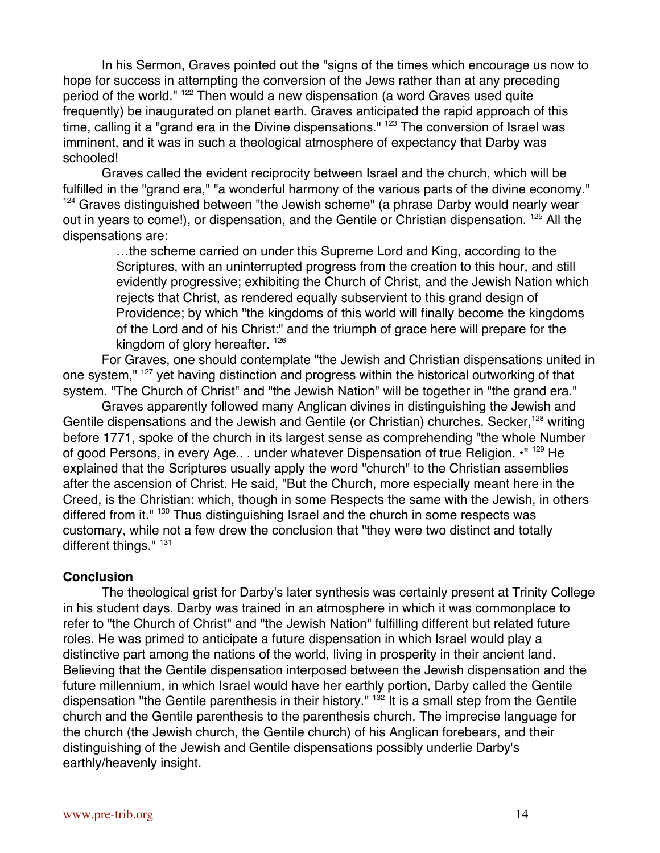In his Sermon, Graves pointed out the "signs of the times which encourage us now to hope for success in attempting the conversion of the Jews rather than at any preceding period of the world." <sup>122</sup> Then would a new dispensation (a word Graves used quite frequently) be inaugurated on planet earth. Graves anticipated the rapid approach of this time, calling it a "grand era in the Divine dispensations." <sup>123</sup> The conversion of Israel was imminent, and it was in such a theological atmosphere of expectancy that Darby was schooled!

Graves called the evident reciprocity between Israel and the church, which will be fulfilled in the "grand era," "a wonderful harmony of the various parts of the divine economy." <sup>124</sup> Graves distinguished between "the Jewish scheme" (a phrase Darby would nearly wear out in years to come!), or dispensation, and the Gentile or Christian dispensation. <sup>125</sup> All the dispensations are:

…the scheme carried on under this Supreme Lord and King, according to the Scriptures, with an uninterrupted progress from the creation to this hour, and still evidently progressive; exhibiting the Church of Christ, and the Jewish Nation which rejects that Christ, as rendered equally subservient to this grand design of Providence; by which "the kingdoms of this world will finally become the kingdoms of the Lord and of his Christ:" and the triumph of grace here will prepare for the kingdom of glory hereafter. <sup>126</sup>

For Graves, one should contemplate "the Jewish and Christian dispensations united in one system," <sup>127</sup> yet having distinction and progress within the historical outworking of that system. "The Church of Christ" and "the Jewish Nation" will be together in "the grand era."

Graves apparently followed many Anglican divines in distinguishing the Jewish and Gentile dispensations and the Jewish and Gentile (or Christian) churches. Secker,<sup>128</sup> writing before 1771, spoke of the church in its largest sense as comprehending "the whole Number of good Persons, in every Age.. . under whatever Dispensation of true Religion.  $\cdot$ "<sup>129</sup> He explained that the Scriptures usually apply the word "church" to the Christian assemblies after the ascension of Christ. He said, "But the Church, more especially meant here in the Creed, is the Christian: which, though in some Respects the same with the Jewish, in others differed from it." <sup>130</sup> Thus distinguishing Israel and the church in some respects was customary, while not a few drew the conclusion that "they were two distinct and totally different things." 131

## **Conclusion**

The theological grist for Darby's later synthesis was certainly present at Trinity College in his student days. Darby was trained in an atmosphere in which it was commonplace to refer to "the Church of Christ" and "the Jewish Nation" fulfilling different but related future roles. He was primed to anticipate a future dispensation in which Israel would play a distinctive part among the nations of the world, living in prosperity in their ancient land. Believing that the Gentile dispensation interposed between the Jewish dispensation and the future millennium, in which Israel would have her earthly portion, Darby called the Gentile dispensation "the Gentile parenthesis in their history." <sup>132</sup> It is a small step from the Gentile church and the Gentile parenthesis to the parenthesis church. The imprecise language for the church (the Jewish church, the Gentile church) of his Anglican forebears, and their distinguishing of the Jewish and Gentile dispensations possibly underlie Darby's earthly/heavenly insight.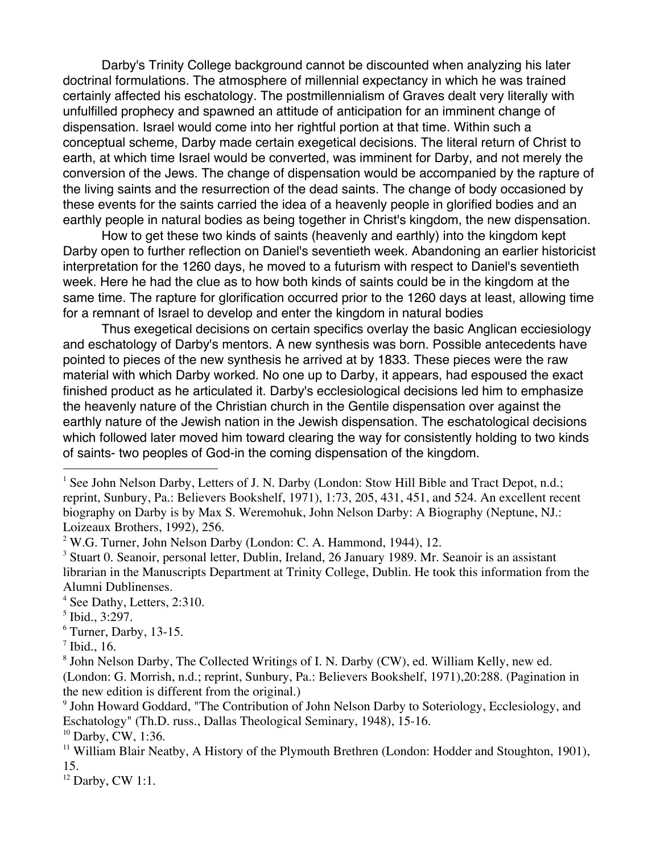Darby's Trinity College background cannot be discounted when analyzing his later doctrinal formulations. The atmosphere of millennial expectancy in which he was trained certainly affected his eschatology. The postmillennialism of Graves dealt very literally with unfulfilled prophecy and spawned an attitude of anticipation for an imminent change of dispensation. Israel would come into her rightful portion at that time. Within such a conceptual scheme, Darby made certain exegetical decisions. The literal return of Christ to earth, at which time Israel would be converted, was imminent for Darby, and not merely the conversion of the Jews. The change of dispensation would be accompanied by the rapture of the living saints and the resurrection of the dead saints. The change of body occasioned by these events for the saints carried the idea of a heavenly people in glorified bodies and an earthly people in natural bodies as being together in Christ's kingdom, the new dispensation.

How to get these two kinds of saints (heavenly and earthly) into the kingdom kept Darby open to further reflection on Daniel's seventieth week. Abandoning an earlier historicist interpretation for the 1260 days, he moved to a futurism with respect to Daniel's seventieth week. Here he had the clue as to how both kinds of saints could be in the kingdom at the same time. The rapture for glorification occurred prior to the 1260 days at least, allowing time for a remnant of Israel to develop and enter the kingdom in natural bodies

Thus exegetical decisions on certain specifics overlay the basic Anglican ecciesiology and eschatology of Darby's mentors. A new synthesis was born. Possible antecedents have pointed to pieces of the new synthesis he arrived at by 1833. These pieces were the raw material with which Darby worked. No one up to Darby, it appears, had espoused the exact finished product as he articulated it. Darby's ecclesiological decisions led him to emphasize the heavenly nature of the Christian church in the Gentile dispensation over against the earthly nature of the Jewish nation in the Jewish dispensation. The eschatological decisions which followed later moved him toward clearing the way for consistently holding to two kinds of saints- two peoples of God-in the coming dispensation of the kingdom.

<sup>10</sup> Darby, CW, 1:36.

<sup>12</sup> Darby, CW 1:1.

<sup>|&</sup>lt;br>|<br>| <sup>1</sup> See John Nelson Darby, Letters of J. N. Darby (London: Stow Hill Bible and Tract Depot, n.d.; reprint, Sunbury, Pa.: Believers Bookshelf, 1971), 1:73, 205, 431, 451, and 524. An excellent recent biography on Darby is by Max S. Weremohuk, John Nelson Darby: A Biography (Neptune, NJ.: Loizeaux Brothers, 1992), 256.

 $2$  W.G. Turner, John Nelson Darby (London: C. A. Hammond, 1944), 12.

<sup>&</sup>lt;sup>3</sup> Stuart 0. Seanoir, personal letter, Dublin, Ireland, 26 January 1989. Mr. Seanoir is an assistant librarian in the Manuscripts Department at Trinity College, Dublin. He took this information from the Alumni Dublinenses.

<sup>4</sup> See Dathy, Letters, 2:310.

<sup>5</sup> Ibid., 3:297.

<sup>6</sup> Turner, Darby, 13-15.

 $<sup>7</sup>$  Ibid., 16.</sup>

<sup>&</sup>lt;sup>8</sup> John Nelson Darby, The Collected Writings of I. N. Darby (CW), ed. William Kelly, new ed. (London: G. Morrish, n.d.; reprint, Sunbury, Pa.: Believers Bookshelf, 1971),20:288. (Pagination in the new edition is different from the original.)

<sup>&</sup>lt;sup>9</sup> John Howard Goddard, "The Contribution of John Nelson Darby to Soteriology, Ecclesiology, and Eschatology" (Th.D. russ., Dallas Theological Seminary, 1948), 15-16.

<sup>&</sup>lt;sup>11</sup> William Blair Neatby, A History of the Plymouth Brethren (London: Hodder and Stoughton, 1901), 15.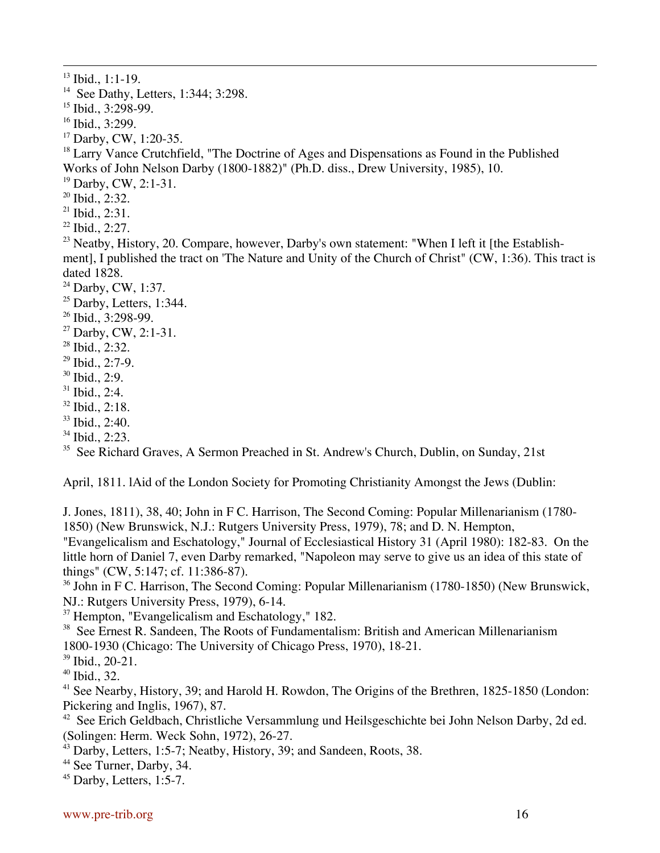<sup>13</sup> Ibid., 1:1-19.

<sup>14</sup> See Dathy, Letters, 1:344; 3:298.

15 Ibid., 3:298-99.

16 Ibid., 3:299.

17 Darby, CW, 1:20-35.

<sup>18</sup> Larry Vance Crutchfield, "The Doctrine of Ages and Dispensations as Found in the Published Works of John Nelson Darby (1800-1882)" (Ph.D. diss., Drew University, 1985), 10.

<sup>19</sup> Darby, CW, 2:1-31.

<sup>20</sup> Ibid., 2:32.

 $2^{21}$  Ibid., 2:31.

22 Ibid., 2:27.

 $^{23}$  Neatby, History, 20. Compare, however, Darby's own statement: "When I left it [the Establishment], I published the tract on 'The Nature and Unity of the Church of Christ" (CW, 1:36). This tract is dated 1828.

<sup>24</sup> Darby, CW, 1:37.

- $25$  Darby, Letters, 1:344.
- 26 Ibid., 3:298-99.
- 27 Darby, CW, 2:1-31.

28 Ibid., 2:32.

- $29$  Ibid., 2:7-9.
- 30 Ibid., 2:9.
- $31$  Ibid., 2:4.
- 32 Ibid., 2:18.
- 33 Ibid., 2:40.
- 34 Ibid., 2:23.

<sup>35</sup> See Richard Graves, A Sermon Preached in St. Andrew's Church, Dublin, on Sunday, 21st

April, 1811. lAid of the London Society for Promoting Christianity Amongst the Jews (Dublin:

J. Jones, 1811), 38, 40; John in F C. Harrison, The Second Coming: Popular Millenarianism (1780- 1850) (New Brunswick, N.J.: Rutgers University Press, 1979), 78; and D. N. Hempton,

"Evangelicalism and Eschatology," Journal of Ecclesiastical History 31 (April 1980): 182-83. On the little horn of Daniel 7, even Darby remarked, "Napoleon may serve to give us an idea of this state of things" (CW, 5:147; cf. 11:386-87).

<sup>36</sup> John in F C. Harrison, The Second Coming: Popular Millenarianism (1780-1850) (New Brunswick, NJ.: Rutgers University Press, 1979), 6-14.

<sup>37</sup> Hempton, "Evangelicalism and Eschatology," 182.

<sup>38</sup> See Ernest R. Sandeen, The Roots of Fundamentalism: British and American Millenarianism 1800-1930 (Chicago: The University of Chicago Press, 1970), 18-21.

39 Ibid., 20-21.

40 Ibid., 32.

<sup>41</sup> See Nearby, History, 39; and Harold H. Rowdon, The Origins of the Brethren, 1825-1850 (London: Pickering and Inglis, 1967), 87.

<sup>42</sup> See Erich Geldbach, Christliche Versammlung und Heilsgeschichte bei John Nelson Darby, 2d ed. (Solingen: Herm. Weck Sohn, 1972), 26-27.

<sup>43</sup> Darby, Letters, 1:5-7; Neatby, History, 39; and Sandeen, Roots, 38.

44 See Turner, Darby, 34.

 $45$  Darby, Letters, 1:5-7.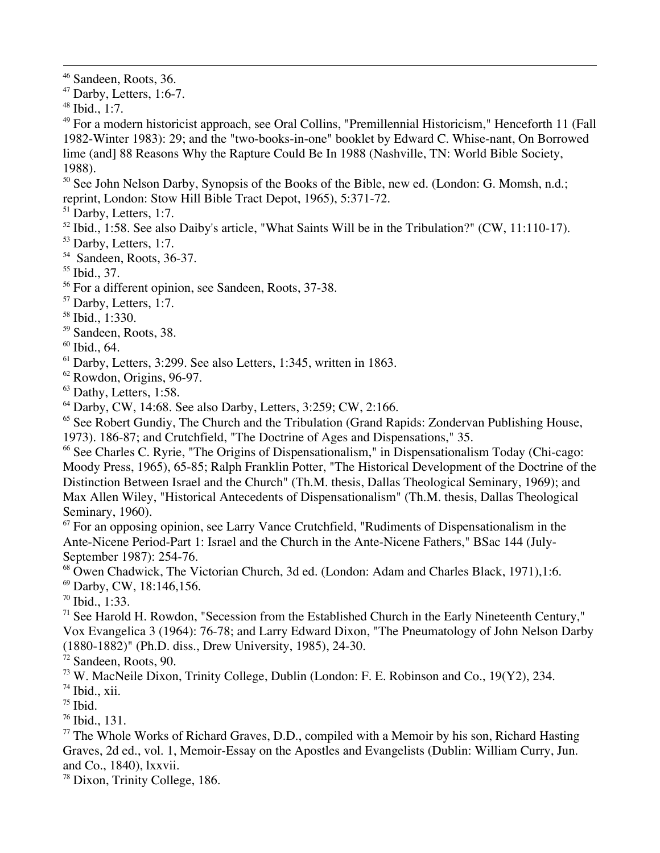46 Sandeen, Roots, 36.

 $47$  Darby, Letters, 1:6-7.

48 Ibid., 1:7.

49 For a modern historicist approach, see Oral Collins, "Premillennial Historicism," Henceforth 11 (Fall 1982-Winter 1983): 29; and the "two-books-in-one" booklet by Edward C. Whise-nant, On Borrowed lime (and] 88 Reasons Why the Rapture Could Be In 1988 (Nashville, TN: World Bible Society, 1988).

<sup>50</sup> See John Nelson Darby, Synopsis of the Books of the Bible, new ed. (London: G. Momsh, n.d.; reprint, London: Stow Hill Bible Tract Depot, 1965), 5:371-72.

<sup>51</sup> Darby, Letters, 1:7.

- $52$  Ibid., 1:58. See also Daiby's article, "What Saints Will be in the Tribulation?" (CW, 11:110-17).
- <sup>53</sup> Darby, Letters, 1:7.
- 54 Sandeen, Roots, 36-37.

55 Ibid., 37.

<sup>56</sup> For a different opinion, see Sandeen, Roots, 37-38.

<sup>57</sup> Darby, Letters, 1:7.

58 Ibid., 1:330.

59 Sandeen, Roots, 38.

60 Ibid., 64.

61 Darby, Letters, 3:299. See also Letters, 1:345, written in 1863.

62 Rowdon, Origins, 96-97.

 $63$  Dathy, Letters, 1:58.

64 Darby, CW, 14:68. See also Darby, Letters, 3:259; CW, 2:166.

<sup>65</sup> See Robert Gundiy, The Church and the Tribulation (Grand Rapids: Zondervan Publishing House,

1973). 186-87; and Crutchfield, "The Doctrine of Ages and Dispensations," 35.

66 See Charles C. Ryrie, "The Origins of Dispensationalism," in Dispensationalism Today (Chi-cago: Moody Press, 1965), 65-85; Ralph Franklin Potter, "The Historical Development of the Doctrine of the Distinction Between Israel and the Church" (Th.M. thesis, Dallas Theological Seminary, 1969); and Max Allen Wiley, "Historical Antecedents of Dispensationalism" (Th.M. thesis, Dallas Theological Seminary, 1960).

<sup>67</sup> For an opposing opinion, see Larry Vance Crutchfield, "Rudiments of Dispensationalism in the Ante-Nicene Period-Part 1: Israel and the Church in the Ante-Nicene Fathers," BSac 144 (July-September 1987): 254-76.

68 Owen Chadwick, The Victorian Church, 3d ed. (London: Adam and Charles Black, 1971),1:6.

69 Darby, CW, 18:146,156.

70 Ibid., 1:33.

<sup>71</sup> See Harold H. Rowdon, "Secession from the Established Church in the Early Nineteenth Century," Vox Evangelica 3 (1964): 76-78; and Larry Edward Dixon, "The Pneumatology of John Nelson Darby (1880-1882)" (Ph.D. diss., Drew University, 1985), 24-30.

72 Sandeen, Roots, 90.

73 W. MacNeile Dixon, Trinity College, Dublin (London: F. E. Robinson and Co., 19(Y2), 234.

74 Ibid., xii.

 $75$  Ibid.

76 Ibid., 131.

<sup>77</sup> The Whole Works of Richard Graves, D.D., compiled with a Memoir by his son, Richard Hasting Graves, 2d ed., vol. 1, Memoir-Essay on the Apostles and Evangelists (Dublin: William Curry, Jun. and Co., 1840), lxxvii.

<sup>78</sup> Dixon, Trinity College, 186.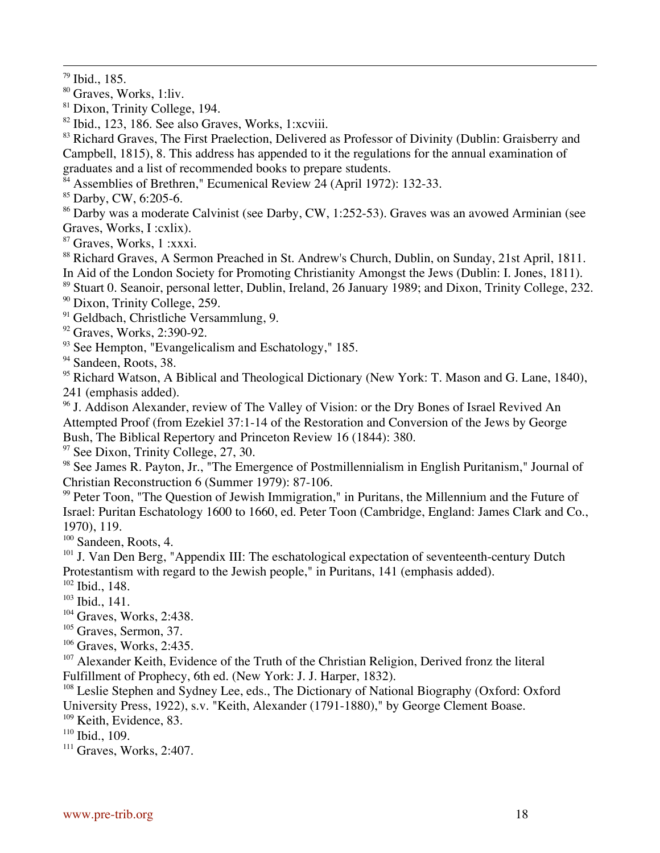79 Ibid., 185.

<sup>80</sup> Graves, Works, 1:liv.

81 Dixon, Trinity College, 194.

82 Ibid., 123, 186. See also Graves, Works, 1:xcviii.

83 Richard Graves, The First Praelection, Delivered as Professor of Divinity (Dublin: Graisberry and Campbell, 1815), 8. This address has appended to it the regulations for the annual examination of graduates and a list of recommended books to prepare students.

<sup>84</sup> Assemblies of Brethren," Ecumenical Review 24 (April 1972): 132-33.

85 Darby, CW, 6:205-6.

<sup>86</sup> Darby was a moderate Calvinist (see Darby, CW, 1:252-53). Graves was an avowed Arminian (see Graves, Works, I :cxlix).

87 Graves, Works, 1 :xxxi.

<sup>88</sup> Richard Graves, A Sermon Preached in St. Andrew's Church, Dublin, on Sunday, 21st April, 1811. In Aid of the London Society for Promoting Christianity Amongst the Jews (Dublin: I. Jones, 1811).

<sup>89</sup> Stuart 0. Seanoir, personal letter, Dublin, Ireland, 26 January 1989; and Dixon, Trinity College, 232. <sup>90</sup> Dixon, Trinity College, 259.

<sup>91</sup> Geldbach, Christliche Versammlung, 9.

<sup>92</sup> Graves, Works, 2:390-92.

<sup>93</sup> See Hempton, "Evangelicalism and Eschatology," 185.

<sup>94</sup> Sandeen, Roots, 38.

<sup>95</sup> Richard Watson, A Biblical and Theological Dictionary (New York: T. Mason and G. Lane, 1840), 241 (emphasis added).

<sup>96</sup> J. Addison Alexander, review of The Valley of Vision: or the Dry Bones of Israel Revived An Attempted Proof (from Ezekiel 37:1-14 of the Restoration and Conversion of the Jews by George Bush, The Biblical Repertory and Princeton Review 16 (1844): 380.

<sup>97</sup> See Dixon, Trinity College, 27, 30.

<sup>98</sup> See James R. Payton, Jr., "The Emergence of Postmillennialism in English Puritanism," Journal of Christian Reconstruction 6 (Summer 1979): 87-106.

<sup>99</sup> Peter Toon, "The Question of Jewish Immigration," in Puritans, the Millennium and the Future of Israel: Puritan Eschatology 1600 to 1660, ed. Peter Toon (Cambridge, England: James Clark and Co., 1970), 119.

<sup>100</sup> Sandeen, Roots, 4.

<sup>101</sup> J. Van Den Berg, "Appendix III: The eschatological expectation of seventeenth-century Dutch Protestantism with regard to the Jewish people," in Puritans, 141 (emphasis added).

 $102$  Ibid., 148.

 $103$  Ibid., 141.

<sup>104</sup> Graves, Works, 2:438.

<sup>105</sup> Graves, Sermon, 37.

<sup>106</sup> Graves, Works, 2:435.

<sup>107</sup> Alexander Keith, Evidence of the Truth of the Christian Religion, Derived fronz the literal Fulfillment of Prophecy, 6th ed. (New York: J. J. Harper, 1832).

<sup>108</sup> Leslie Stephen and Sydney Lee, eds., The Dictionary of National Biography (Oxford: Oxford University Press, 1922), s.v. "Keith, Alexander (1791-1880)," by George Clement Boase.

<sup>109</sup> Keith, Evidence, 83.

110 Ibid., 109.

<sup>111</sup> Graves, Works, 2:407.